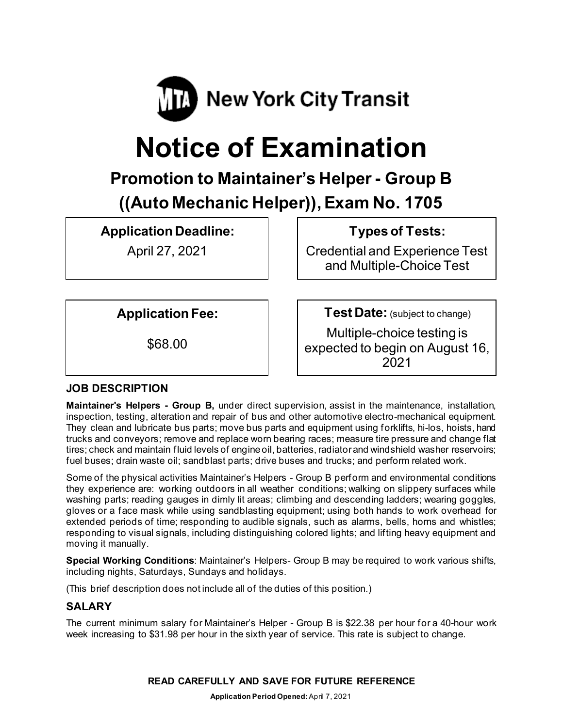

# **Notice of Examination**

# **Promotion to Maintainer's Helper- Group B ((Auto Mechanic Helper)), Exam No. 1705**

**Application Deadline:**

April 27, 2021

**Types of Tests:** 

Credential and Experience Test and Multiple-Choice Test

**Application Fee:**

\$68.00

**Test Date:** (subject to change)

Multiple-choice testing is expected to begin on August 16, 2021

# **JOB DESCRIPTION**

**Maintainer's Helpers - Group B,** under direct supervision, assist in the maintenance, installation, inspection, testing, alteration and repair of bus and other automotive electro-mechanical equipment. They clean and lubricate bus parts; move bus parts and equipment using forklifts, hi-los, hoists, hand trucks and conveyors; remove and replace worn bearing races; measure tire pressure and change flat tires; check and maintain fluid levels of engine oil, batteries, radiator and windshield washer reservoirs; fuel buses; drain waste oil; sandblast parts; drive buses and trucks; and perform related work.

Some of the physical activities Maintainer's Helpers - Group B perform and environmental conditions they experience are: working outdoors in all weather conditions; walking on slippery surfaces while washing parts; reading gauges in dimly lit areas; climbing and descending ladders; wearing goggles, gloves or a face mask while using sandblasting equipment; using both hands to work overhead for extended periods of time; responding to audible signals, such as alarms, bells, horns and whistles; responding to visual signals, including distinguishing colored lights; and lifting heavy equipment and moving it manually.

**Special Working Conditions**: Maintainer's Helpers- Group B may be required to work various shifts, including nights, Saturdays, Sundays and holidays.

(This brief description does not include all of the duties of this position.)

# **SALARY**

The current minimum salary for Maintainer's Helper - Group B is \$22.38 per hour for a 40-hour work week increasing to \$31.98 per hour in the sixth year of service. This rate is subject to change.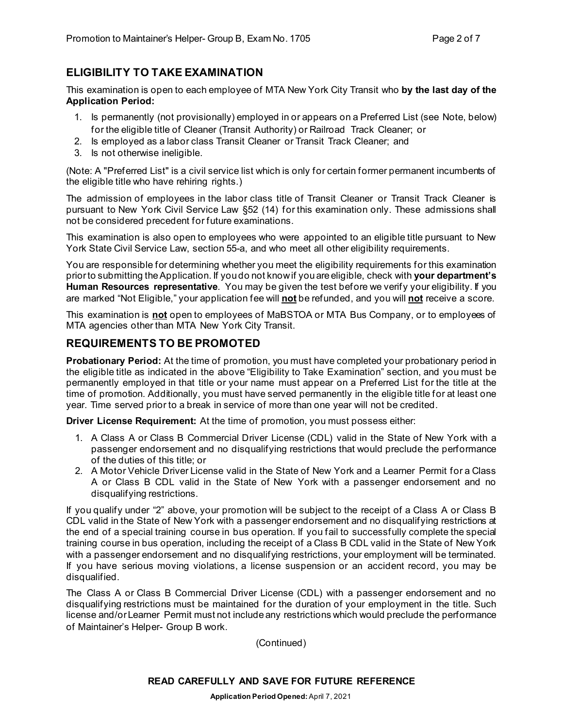### **ELIGIBILITY TO TAKE EXAMINATION**

This examination is open to each employee of MTA New York City Transit who **by the last day of the Application Period:**

- 1. Is permanently (not provisionally) employed in or appears on a Preferred List (see Note, below) for the eligible title of Cleaner (Transit Authority) or Railroad Track Cleaner; or
- 2. Is employed as a labor class Transit Cleaner or Transit Track Cleaner; and
- 3. Is not otherwise ineligible.

(Note: A "Preferred List" is a civil service list which is only for certain former permanent incumbents of the eligible title who have rehiring rights.)

The admission of employees in the labor class title of Transit Cleaner or Transit Track Cleaner is pursuant to New York Civil Service Law §52 (14) for this examination only. These admissions shall not be considered precedent for future examinations.

This examination is also open to employees who were appointed to an eligible title pursuant to New York State Civil Service Law, section 55-a, and who meet all other eligibility requirements.

You are responsible for determining whether you meet the eligibility requirements for this examination prior to submitting the Application. If you do not know if you are eligible, check with **your department's Human Resources representative**. You may be given the test before we verify your eligibility. If you are marked "Not Eligible," your application fee will **not** be refunded, and you will **not** receive a score.

This examination is **not** open to employees of MaBSTOA or MTA Bus Company, or to employees of MTA agencies other than MTA New York City Transit.

#### **REQUIREMENTS TO BE PROMOTED**

**Probationary Period:** At the time of promotion, you must have completed your probationary period in the eligible title as indicated in the above "Eligibility to Take Examination" section, and you must be permanently employed in that title or your name must appear on a Preferred List for the title at the time of promotion. Additionally, you must have served permanently in the eligible title for at least one year. Time served prior to a break in service of more than one year will not be credited.

**Driver License Requirement:** At the time of promotion, you must possess either:

- 1. A Class A or Class B Commercial Driver License (CDL) valid in the State of New York with a passenger endorsement and no disqualifying restrictions that would preclude the performance of the duties of this title; or
- 2. A Motor Vehicle Driver License valid in the State of New York and a Learner Permit for a Class A or Class B CDL valid in the State of New York with a passenger endorsement and no disqualifying restrictions.

If you qualify under "2" above, your promotion will be subject to the receipt of a Class A or Class B CDL valid in the State of New York with a passenger endorsement and no disqualifying restrictions at the end of a special training course in bus operation. If you fail to successfully complete the special training course in bus operation, including the receipt of a Class B CDL valid in the State of New York with a passenger endorsement and no disqualifying restrictions, your employment will be terminated. If you have serious moving violations, a license suspension or an accident record, you may be disqualified.

The Class A or Class B Commercial Driver License (CDL) with a passenger endorsement and no disqualifying restrictions must be maintained for the duration of your employment in the title. Such license and/or Learner Permit must not include any restrictions which would preclude the performance of Maintainer's Helper- Group B work.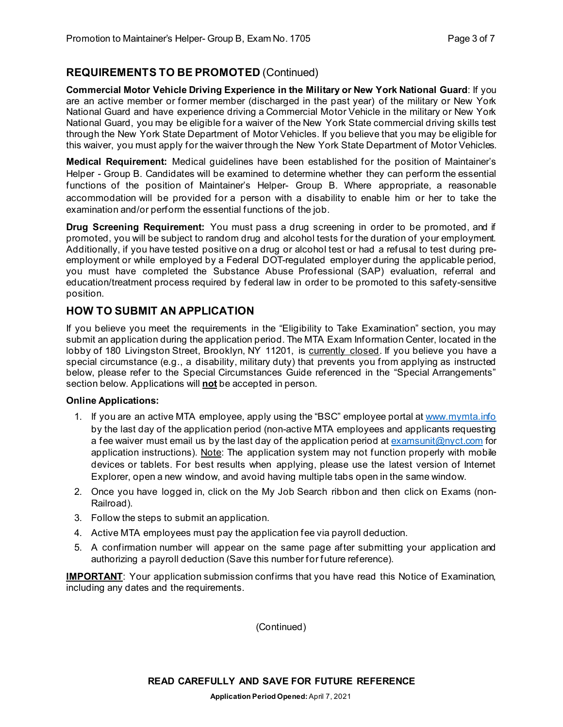# **REQUIREMENTS TO BE PROMOTED** (Continued)

**Commercial Motor Vehicle Driving Experience in the Military or New York National Guard**: If you are an active member or former member (discharged in the past year) of the military or New York National Guard and have experience driving a Commercial Motor Vehicle in the military or New York National Guard, you may be eligible for a waiver of the New York State commercial driving skills test through the New York State Department of Motor Vehicles. If you believe that you may be eligible for this waiver, you must apply for the waiver through the New York State Department of Motor Vehicles.

**Medical Requirement:** Medical guidelines have been established for the position of Maintainer's Helper - Group B. Candidates will be examined to determine whether they can perform the essential functions of the position of Maintainer's Helper- Group B. Where appropriate, a reasonable accommodation will be provided for a person with a disability to enable him or her to take the examination and/or perform the essential functions of the job.

**Drug Screening Requirement:** You must pass a drug screening in order to be promoted, and if promoted, you will be subject to random drug and alcohol tests for the duration of your employment. Additionally, if you have tested positive on a drug or alcohol test or had a refusal to test during preemployment or while employed by a Federal DOT-regulated employer during the applicable period, you must have completed the Substance Abuse Professional (SAP) evaluation, referral and education/treatment process required by federal law in order to be promoted to this safety-sensitive position.

#### **HOW TO SUBMIT AN APPLICATION**

If you believe you meet the requirements in the "Eligibility to Take Examination" section, you may submit an application during the application period. The MTA Exam Information Center, located in the lobby of 180 Livingston Street, Brooklyn, NY 11201, is currently closed. If you believe you have a special circumstance (e.g., a disability, military duty) that prevents you from applying as instructed below, please refer to the Special Circumstances Guide referenced in the "Special Arrangements" section below. Applications will **not** be accepted in person.

#### **Online Applications:**

- 1. If you are an active MTA employee, apply using the "BSC" employee portal at [www.mymta.info](http://www.mymta.info/) by the last day of the application period (non-active MTA employees and applicants requesting a fee waiver must email us by the last day of the application period a[t examsunit@nyct.com](mailto:examsunit@nyct.com) for application instructions). Note: The application system may not function properly with mobile devices or tablets. For best results when applying, please use the latest version of Internet Explorer, open a new window, and avoid having multiple tabs open in the same window.
- 2. Once you have logged in, click on the My Job Search ribbon and then click on Exams (non-Railroad).
- 3. Follow the steps to submit an application.
- 4. Active MTA employees must pay the application fee via payroll deduction.
- 5. A confirmation number will appear on the same page after submitting your application and authorizing a payroll deduction (Save this number for future reference).

**IMPORTANT**: Your application submission confirms that you have read this Notice of Examination, including any dates and the requirements.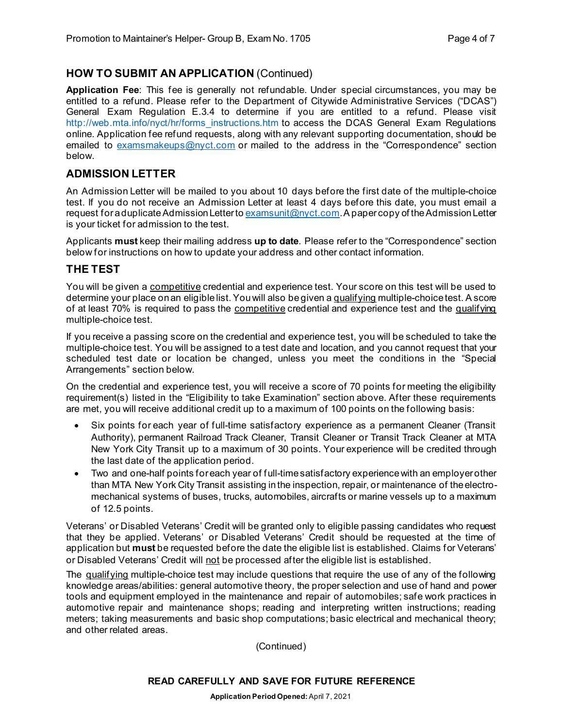#### **HOW TO SUBMIT AN APPLICATION** (Continued)

**Application Fee**: This fee is generally not refundable. Under special circumstances, you may be entitled to a refund. Please refer to the Department of Citywide Administrative Services ("DCAS") General Exam Regulation E.3.4 to determine if you are entitled to a refund. Please visit [http://web.mta.info/nyct/hr/forms\\_instructions.htm](http://web.mta.info/nyct/hr/forms_instructions.htm) to access the DCAS General Exam Regulations online. Application fee refund requests, along with any relevant supporting documentation, should be emailed to [examsmakeups@nyct.com](mailto:examsmakeups@nyct.com) or mailed to the address in the "Correspondence" section below.

#### **ADMISSION LETTER**

An Admission Letter will be mailed to you about 10 days before the first date of the multiple-choice test. If you do not receive an Admission Letter at least 4 days before this date, you must email a request for a duplicate Admission Letter to  $\frac{examsunit(Qnyct.com)}{R}$ . A paper copy of the Admission Letter is your ticket for admission to the test.

Applicants **must** keep their mailing address **up to date**. Please refer to the "Correspondence" section below for instructions on how to update your address and other contact information.

#### **THE TEST**

You will be given a competitive credential and experience test. Your score on this test will be used to determine your place on an eligible list. You will also be given a qualifying multiple-choice test. A score of at least 70% is required to pass the competitive credential and experience test and the qualifying multiple-choice test.

If you receive a passing score on the credential and experience test, you will be scheduled to take the multiple-choice test. You will be assigned to a test date and location, and you cannot request that your scheduled test date or location be changed, unless you meet the conditions in the "Special Arrangements" section below.

On the credential and experience test, you will receive a score of 70 points for meeting the eligibility requirement(s) listed in the "Eligibility to take Examination" section above. After these requirements are met, you will receive additional credit up to a maximum of 100 points on the following basis:

- Six points for each year of full-time satisfactory experience as a permanent Cleaner (Transit Authority), permanent Railroad Track Cleaner, Transit Cleaner or Transit Track Cleaner at MTA New York City Transit up to a maximum of 30 points. Your experience will be credited through the last date of the application period.
- Two and one-half points for each year of full-time satisfactory experience with an employer other than MTA New York City Transit assisting in the inspection, repair, or maintenance of the electromechanical systems of buses, trucks, automobiles, aircrafts or marine vessels up to a maximum of 12.5 points.

Veterans' or Disabled Veterans' Credit will be granted only to eligible passing candidates who request that they be applied. Veterans' or Disabled Veterans' Credit should be requested at the time of application but **must** be requested before the date the eligible list is established. Claims for Veterans' or Disabled Veterans' Credit will not be processed after the eligible list is established.

The qualifying multiple-choice test may include questions that require the use of any of the following knowledge areas/abilities: general automotive theory, the proper selection and use of hand and power tools and equipment employed in the maintenance and repair of automobiles; safe work practices in automotive repair and maintenance shops; reading and interpreting written instructions; reading meters; taking measurements and basic shop computations; basic electrical and mechanical theory; and other related areas.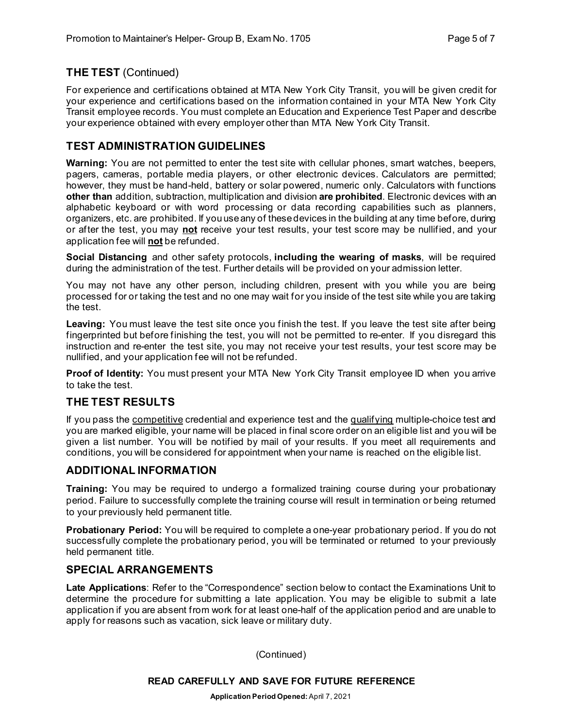# **THE TEST** (Continued)

For experience and certifications obtained at MTA New York City Transit, you will be given credit for your experience and certifications based on the information contained in your MTA New York City Transit employee records. You must complete an Education and Experience Test Paper and describe your experience obtained with every employer other than MTA New York City Transit.

# **TEST ADMINISTRATION GUIDELINES**

**Warning:** You are not permitted to enter the test site with cellular phones, smart watches, beepers, pagers, cameras, portable media players, or other electronic devices. Calculators are permitted; however, they must be hand-held, battery or solar powered, numeric only. Calculators with functions **other than** addition, subtraction, multiplication and division **are prohibited**. Electronic devices with an alphabetic keyboard or with word processing or data recording capabilities such as planners, organizers, etc. are prohibited. If you use any of these devices in the building at any time before, during or after the test, you may **not** receive your test results, your test score may be nullified, and your application fee will **not** be refunded.

**Social Distancing** and other safety protocols, **including the wearing of masks**, will be required during the administration of the test. Further details will be provided on your admission letter.

You may not have any other person, including children, present with you while you are being processed for or taking the test and no one may wait for you inside of the test site while you are taking the test.

**Leaving:** You must leave the test site once you finish the test. If you leave the test site after being fingerprinted but before finishing the test, you will not be permitted to re-enter. If you disregard this instruction and re-enter the test site, you may not receive your test results, your test score may be nullified, and your application fee will not be refunded.

**Proof of Identity:** You must present your MTA New York City Transit employee ID when you arrive to take the test.

# **THE TEST RESULTS**

If you pass the competitive credential and experience test and the qualifying multiple-choice test and you are marked eligible, your name will be placed in final score order on an eligible list and you will be given a list number. You will be notified by mail of your results. If you meet all requirements and conditions, you will be considered for appointment when your name is reached on the eligible list.

#### **ADDITIONAL INFORMATION**

**Training:** You may be required to undergo a formalized training course during your probationary period. Failure to successfully complete the training course will result in termination or being returned to your previously held permanent title.

**Probationary Period:** You will be required to complete a one-year probationary period. If you do not successfully complete the probationary period, you will be terminated or returned to your previously held permanent title.

#### **SPECIAL ARRANGEMENTS**

**Late Applications**: Refer to the "Correspondence" section below to contact the Examinations Unit to determine the procedure for submitting a late application. You may be eligible to submit a late application if you are absent from work for at least one-half of the application period and are unable to apply for reasons such as vacation, sick leave or military duty.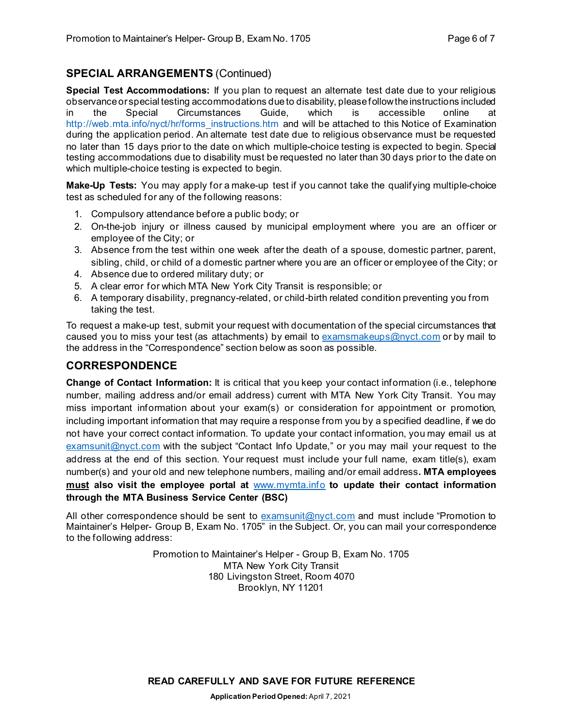# **SPECIAL ARRANGEMENTS** (Continued)

**Special Test Accommodations:** If you plan to request an alternate test date due to your religious observance or special testing accommodations due to disability, please follow the instructions included in the Special Circumstances Guide, which is accessible online at [http://web.mta.info/nyct/hr/forms\\_instructions.htm](http://web.mta.info/nyct/hr/forms_instructions.htm) and will be attached to this Notice of Examination during the application period. An alternate test date due to religious observance must be requested no later than 15 days prior to the date on which multiple-choice testing is expected to begin. Special testing accommodations due to disability must be requested no later than 30 days prior to the date on which multiple-choice testing is expected to begin.

**Make-Up Tests:** You may apply for a make-up test if you cannot take the qualifying multiple-choice test as scheduled for any of the following reasons:

- 1. Compulsory attendance before a public body; or
- 2. On-the-job injury or illness caused by municipal employment where you are an officer or employee of the City; or
- 3. Absence from the test within one week after the death of a spouse, domestic partner, parent, sibling, child, or child of a domestic partner where you are an officer or employee of the City; or
- 4. Absence due to ordered military duty; or
- 5. A clear error for which MTA New York City Transit is responsible; or
- 6. A temporary disability, pregnancy-related, or child-birth related condition preventing you from taking the test.

To request a make-up test, submit your request with documentation of the special circumstances that caused you to miss your test (as attachments) by email to  $examsmakeups@nyct.com$  or by mail to the address in the "Correspondence" section below as soon as possible.

#### **CORRESPONDENCE**

**Change of Contact Information:** It is critical that you keep your contact information (i.e., telephone number, mailing address and/or email address) current with MTA New York City Transit. You may miss important information about your exam(s) or consideration for appointment or promotion, including important information that may require a response from you by a specified deadline, if we do not have your correct contact information. To update your contact information, you may email us at [examsunit@nyct.com](mailto:examsunit@nyct.com) with the subject "Contact Info Update," or you may mail your request to the address at the end of this section. Your request must include your full name, exam title(s), exam number(s) and your old and new telephone numbers, mailing and/or email address**. MTA employees must also visit the employee portal at** [www.mymta.info](http://www.mymta.info/) **to update their contact information through the MTA Business Service Center (BSC)**

All other correspondence should be sent to [examsunit@nyct.com](mailto:examsunit@nyct.com) and must include "Promotion to Maintainer's Helper- Group B, Exam No. 1705" in the Subject. Or, you can mail your correspondence to the following address:

> Promotion to Maintainer's Helper - Group B, Exam No. 1705 MTA New York City Transit 180 Livingston Street, Room 4070 Brooklyn, NY 11201

**READ CAREFULLY AND SAVE FOR FUTURE REFERENCE**